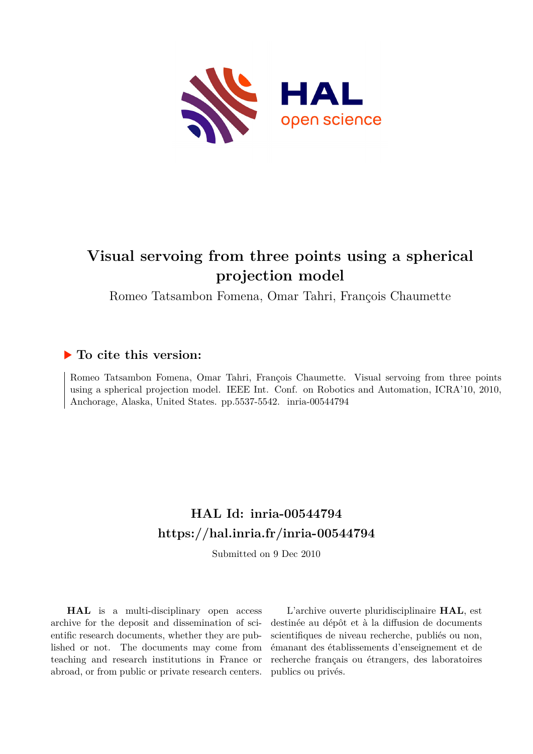

# **Visual servoing from three points using a spherical projection model**

Romeo Tatsambon Fomena, Omar Tahri, François Chaumette

## **To cite this version:**

Romeo Tatsambon Fomena, Omar Tahri, François Chaumette. Visual servoing from three points using a spherical projection model. IEEE Int. Conf. on Robotics and Automation, ICRA'10, 2010, Anchorage, Alaska, United States. pp.5537-5542. inria-00544794

# **HAL Id: inria-00544794 <https://hal.inria.fr/inria-00544794>**

Submitted on 9 Dec 2010

**HAL** is a multi-disciplinary open access archive for the deposit and dissemination of scientific research documents, whether they are published or not. The documents may come from teaching and research institutions in France or abroad, or from public or private research centers.

L'archive ouverte pluridisciplinaire **HAL**, est destinée au dépôt et à la diffusion de documents scientifiques de niveau recherche, publiés ou non, émanant des établissements d'enseignement et de recherche français ou étrangers, des laboratoires publics ou privés.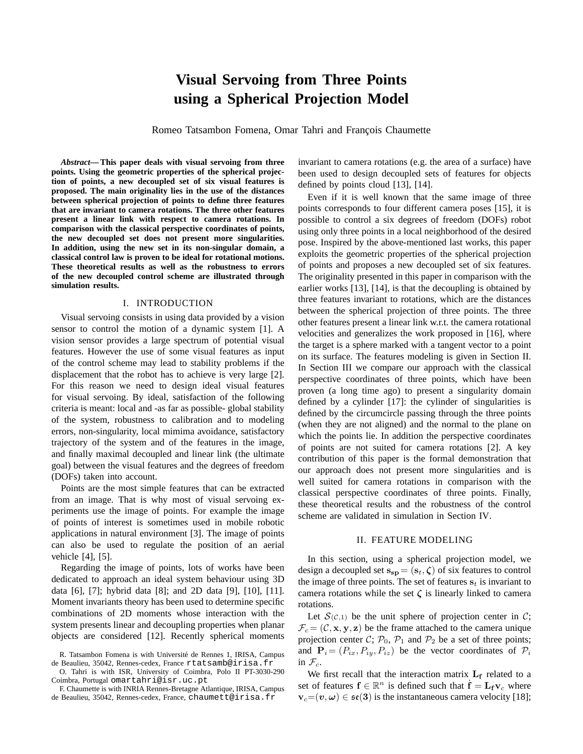# **Visual Servoing from Three Points using a Spherical Projection Model**

Romeo Tatsambon Fomena, Omar Tahri and François Chaumette

*Abstract***— This paper deals with visual servoing from three points. Using the geometric properties of the spherical projection of points, a new decoupled set of six visual features is proposed. The main originality lies in the use of the distances between spherical projection of points to define three features that are invariant to camera rotations. The three other features present a linear link with respect to camera rotations. In comparison with the classical perspective coordinates of points, the new decoupled set does not present more singularities. In addition, using the new set in its non-singular domain, a classical control law is proven to be ideal for rotational motions. These theoretical results as well as the robustness to errors of the new decoupled control scheme are illustrated through simulation results.**

#### I. INTRODUCTION

Visual servoing consists in using data provided by a vision sensor to control the motion of a dynamic system [1]. A vision sensor provides a large spectrum of potential visual features. However the use of some visual features as input of the control scheme may lead to stability problems if the displacement that the robot has to achieve is very large [2]. For this reason we need to design ideal visual features for visual servoing. By ideal, satisfaction of the following criteria is meant: local and -as far as possible- global stability of the system, robustness to calibration and to modeling errors, non-singularity, local mimima avoidance, satisfactory trajectory of the system and of the features in the image, and finally maximal decoupled and linear link (the ultimate goal) between the visual features and the degrees of freedom (DOFs) taken into account.

Points are the most simple features that can be extracted from an image. That is why most of visual servoing experiments use the image of points. For example the image of points of interest is sometimes used in mobile robotic applications in natural environment [3]. The image of points can also be used to regulate the position of an aerial vehicle [4], [5].

Regarding the image of points, lots of works have been dedicated to approach an ideal system behaviour using 3D data [6], [7]; hybrid data [8]; and 2D data [9], [10], [11]. Moment invariants theory has been used to determine specific combinations of 2D moments whose interaction with the system presents linear and decoupling properties when planar objects are considered [12]. Recently spherical moments invariant to camera rotations (e.g. the area of a surface) have been used to design decoupled sets of features for objects defined by points cloud [13], [14].

Even if it is well known that the same image of three points corresponds to four different camera poses [15], it is possible to control a six degrees of freedom (DOFs) robot using only three points in a local neighborhood of the desired pose. Inspired by the above-mentioned last works, this paper exploits the geometric properties of the spherical projection of points and proposes a new decoupled set of six features. The originality presented in this paper in comparison with the earlier works [13], [14], is that the decoupling is obtained by three features invariant to rotations, which are the distances between the spherical projection of three points. The three other features present a linear link w.r.t. the camera rotational velocities and generalizes the work proposed in [16], where the target is a sphere marked with a tangent vector to a point on its surface. The features modeling is given in Section II. In Section III we compare our approach with the classical perspective coordinates of three points, which have been proven (a long time ago) to present a singularity domain defined by a cylinder [17]: the cylinder of singularities is defined by the circumcircle passing through the three points (when they are not aligned) and the normal to the plane on which the points lie. In addition the perspective coordinates of points are not suited for camera rotations [2]. A key contribution of this paper is the formal demonstration that our approach does not present more singularities and is well suited for camera rotations in comparison with the classical perspective coordinates of three points. Finally, these theoretical results and the robustness of the control scheme are validated in simulation in Section IV.

### II. FEATURE MODELING

In this section, using a spherical projection model, we design a decoupled set  $\mathbf{s}_{sp} = (\mathbf{s}_t, \zeta)$  of six features to control the image of three points. The set of features  $s_t$  is invariant to camera rotations while the set  $\zeta$  is linearly linked to camera rotations.

Let  $S(c,1)$  be the unit sphere of projection center in C;  $\mathcal{F}_c = (\mathcal{C}, \mathbf{x}, \mathbf{y}, \mathbf{z})$  be the frame attached to the camera unique projection center C;  $\mathcal{P}_0$ ,  $\mathcal{P}_1$  and  $\mathcal{P}_2$  be a set of three points; and  $P_i = (P_{ix}, P_{iy}, P_{iz})$  be the vector coordinates of  $P_i$ in  $\mathcal{F}_c$ .

We first recall that the interaction matrix  $L_f$  related to a set of features  $f \in \mathbb{R}^n$  is defined such that  $f = L_f v_c$  where  $\mathbf{v}_c=(v,\omega)\in \mathfrak{se}(3)$  is the instantaneous camera velocity [18];

R. Tatsambon Fomena is with Université de Rennes 1, IRISA, Campus de Beaulieu, 35042, Rennes-cedex, France rtatsamb@irisa.fr

O. Tahri is with ISR, University of Coimbra, Polo II PT-3030-290 Coimbra, Portugal omartahri@isr.uc.pt

F. Chaumette is with INRIA Rennes-Bretagne Atlantique, IRISA, Campus de Beaulieu, 35042, Rennes-cedex, France, chaumett@irisa.fr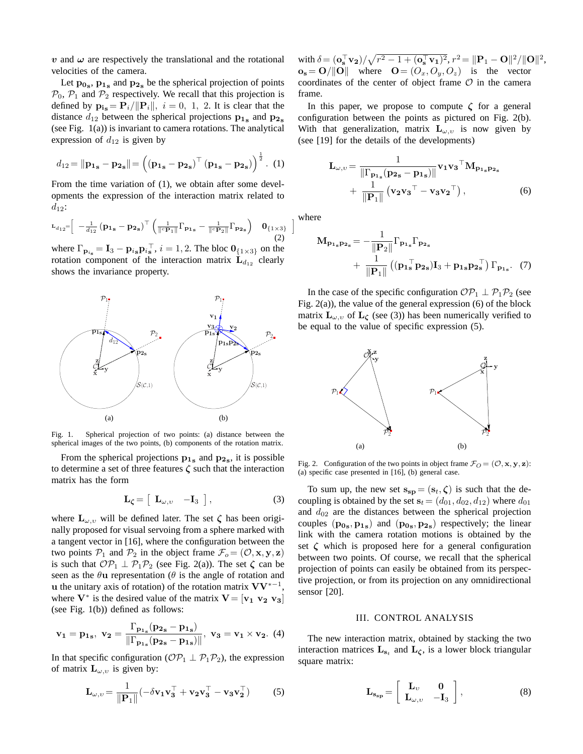v and  $\omega$  are respectively the translational and the rotational velocities of the camera.

Let  $p_{0s}$ ,  $p_{1s}$  and  $p_{2s}$  be the spherical projection of points  $\mathcal{P}_0$ ,  $\mathcal{P}_1$  and  $\mathcal{P}_2$  respectively. We recall that this projection is defined by  $\mathbf{p_{i,s}} = \mathbf{P}_i / ||\mathbf{P}_i||$ ,  $i = 0, 1, 2$ . It is clear that the distance  $d_{12}$  between the spherical projections  $\mathbf{p_{1s}}$  and  $\mathbf{p_{2s}}$ (see Fig. 1(a)) is invariant to camera rotations. The analytical expression of  $d_{12}$  is given by

$$
d_{12} = \|\mathbf{p}_{1s} - \mathbf{p}_{2s}\| = \left( (\mathbf{p}_{1s} - \mathbf{p}_{2s})^{\top} (\mathbf{p}_{1s} - \mathbf{p}_{2s}) \right)^{\frac{1}{2}}.
$$
 (1)

From the time variation of (1), we obtain after some developments the expression of the interaction matrix related to  $d_{12}$ :

$$
\mathbf{L}_{d_{12}} = \left[ \begin{array}{cc} -\frac{1}{d_{12}} \left( \mathbf{p_{1}}_{\mathbf{s}} - \mathbf{p_{2}}_{\mathbf{s}} \right)^{\top} \left( \frac{1}{\|\mathbf{c}_{\mathbf{P}_{1}}\|} \Gamma_{\mathbf{p}_{1}} - \frac{1}{\|\mathbf{c}_{\mathbf{P}_{2}}\|} \Gamma_{\mathbf{p}_{2}}_{\mathbf{s}} \right) & \mathbf{0}_{\{1 \times 3\}} \\ (2) & \end{array} \right]
$$

where  $\Gamma_{\mathbf{p}_{i_s}} = \mathbf{I}_3 - \mathbf{p}_{i_s} \mathbf{p}_{i_s}^\top$ ,  $i = 1, 2$ . The bloc  $\mathbf{0}_{\{1 \times 3\}}$  on the rotation component of the interaction matrix  $L_{d_{12}}$  clearly shows the invariance property.



Fig. 1. Spherical projection of two points: (a) distance between the spherical images of the two points, (b) components of the rotation matrix.

From the spherical projections  $p_{1s}$  and  $p_{2s}$ , it is possible to determine a set of three features  $\zeta$  such that the interaction matrix has the form

$$
\mathbf{L}_{\zeta} = \begin{bmatrix} \mathbf{L}_{\omega, v} & -\mathbf{I}_3 \end{bmatrix}, \tag{3}
$$

where  $\mathbf{L}_{\omega,v}$  will be defined later. The set  $\zeta$  has been originally proposed for visual servoing from a sphere marked with a tangent vector in [16], where the configuration between the two points  $P_1$  and  $P_2$  in the object frame  $\mathcal{F}_0 = (\mathcal{O}, \mathbf{x}, \mathbf{y}, \mathbf{z})$ is such that  $OP_1 \perp P_1P_2$  (see Fig. 2(a)). The set  $\zeta$  can be seen as the  $\theta$ **u** representation ( $\theta$  is the angle of rotation and u the unitary axis of rotation) of the rotation matrix  $VV^{*-1}$ , where  $V^*$  is the desired value of the matrix  $V = [\mathbf{v}_1 \ \mathbf{v}_2 \ \mathbf{v}_3]$ (see Fig. 1(b)) defined as follows:

$$
\mathbf{v_1} = \mathbf{p_{1_S}}, \ \mathbf{v_2} = \frac{\Gamma_{\mathbf{p_{1_S}}}(\mathbf{p_{2_S}} - \mathbf{p_{1_S}})}{\|\Gamma_{\mathbf{p_{1_S}}}(\mathbf{p_{2_S}} - \mathbf{p_{1_S}})\|}, \ \mathbf{v_3} = \mathbf{v_1} \times \mathbf{v_2}. \tag{4}
$$

In that specific configuration ( $\mathcal{OP}_1 \perp \mathcal{P}_1 \mathcal{P}_2$ ), the expression of matrix  $\mathbf{L}_{\omega,v}$  is given by:

$$
\mathbf{L}_{\omega,v} = \frac{1}{\|\mathbf{P}_1\|} (-\delta \mathbf{v}_1 \mathbf{v}_3^\top + \mathbf{v}_2 \mathbf{v}_3^\top - \mathbf{v}_3 \mathbf{v}_2^\top)
$$
 (5)

with  $\delta = \left( \mathbf{o}_{\mathbf{s}}^{\top} \mathbf{v}_{\mathbf{2}} \right) / \sqrt{r^2 - 1 + (\mathbf{o}_{\mathbf{s}}^{\top} \mathbf{v}_{\mathbf{1}})^2}, r^2 = ||\mathbf{P}_1 - \mathbf{O}||^2 / ||\mathbf{O}||^2,$  $\mathbf{o}_s = \mathbf{O}/\|\mathbf{O}\|$  where  $\mathbf{O} = (O_x, O_y, O_z)$  is the vector coordinates of the center of object frame  $\mathcal O$  in the camera frame.

In this paper, we propose to compute  $\zeta$  for a general configuration between the points as pictured on Fig. 2(b). With that generalization, matrix  $\mathbf{L}_{\omega,v}$  is now given by (see [19] for the details of the developments)

$$
\mathbf{L}_{\omega,v} = \frac{1}{\|\Gamma_{\mathbf{p_{1s}}}(\mathbf{p_{2s}} - \mathbf{p_{1s}})\|} \mathbf{v_1 v_3}^\top \mathbf{M}_{\mathbf{p_{1s}}\mathbf{p_{2s}}} + \frac{1}{\|\mathbf{P}_1\|} (\mathbf{v_2 v_3}^\top - \mathbf{v_3 v_2}^\top),
$$
\n(6)

where

1

$$
\mathbf{M}_{\mathbf{p}_{1s}\mathbf{p}_{2s}} = -\frac{1}{\|\mathbf{P}_{2}\|} \Gamma_{\mathbf{p}_{1s}} \Gamma_{\mathbf{p}_{2s}} + \frac{1}{\|\mathbf{P}_{1}\|} \left( (\mathbf{p}_{1s}^{\top} \mathbf{p}_{2s}) \mathbf{I}_{3} + \mathbf{p}_{1s} \mathbf{p}_{2s}^{\top} \right) \Gamma_{\mathbf{p}_{1s}}. (7)
$$

In the case of the specific configuration  $\mathcal{OP}_1 \perp \mathcal{P}_1 \mathcal{P}_2$  (see Fig. 2(a)), the value of the general expression (6) of the block matrix  $\mathbf{L}_{\omega, v}$  of  $\mathbf{L}_{\zeta}$  (see (3)) has been numerically verified to be equal to the value of specific expression (5).



Fig. 2. Configuration of the two points in object frame  $\mathcal{F}_O = (\mathcal{O}, \mathbf{x}, \mathbf{y}, \mathbf{z})$ : (a) specific case presented in [16], (b) general case.

To sum up, the new set  $\mathbf{s}_{sp} = (\mathbf{s}_t, \zeta)$  is such that the decoupling is obtained by the set  $s_t = (d_{01}, d_{02}, d_{12})$  where  $d_{01}$ and  $d_{02}$  are the distances between the spherical projection couples  $(p_{0s}, p_{1s})$  and  $(p_{0s}, p_{2s})$  respectively; the linear link with the camera rotation motions is obtained by the set  $\zeta$  which is proposed here for a general configuration between two points. Of course, we recall that the spherical projection of points can easily be obtained from its perspective projection, or from its projection on any omnidirectional sensor [20].

## III. CONTROL ANALYSIS

The new interaction matrix, obtained by stacking the two interaction matrices  $\mathbf{L}_{s_t}$  and  $\mathbf{L}_{\zeta}$ , is a lower block triangular square matrix:

$$
\mathbf{L}_{\mathbf{s}_{\mathbf{s}\mathbf{p}}} = \left[ \begin{array}{cc} \mathbf{L}_{\upsilon} & \mathbf{0} \\ \mathbf{L}_{\omega, \upsilon} & -\mathbf{I}_3 \end{array} \right],\tag{8}
$$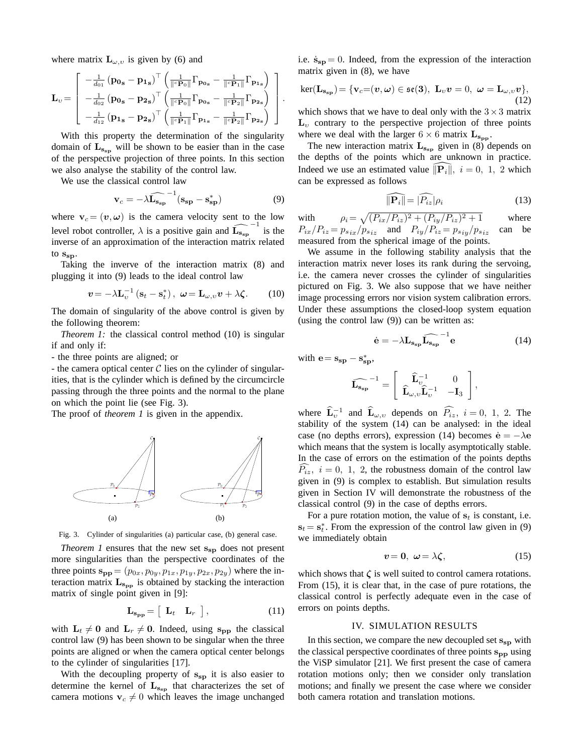where matrix  $\mathbf{L}_{\omega, v}$  is given by (6) and

$$
\mathbf{L}_\upsilon\!=\!\left[\begin{array}{c} -\frac{1}{d_{01}}\left(\mathbf{p_{0s}}-\mathbf{p_{1s}}\right)^{\top}\left(\frac{1}{\|\mathbf{c}\mathbf{P}_0\|}\Gamma_{\mathbf{p_{0s}}}-\frac{1}{\|\mathbf{c}\mathbf{P}_1\|}\Gamma_{\mathbf{p_{1s}}}\right) \\ -\frac{1}{d_{02}}\left(\mathbf{p_{0s}}-\mathbf{p_{2s}}\right)^{\top}\left(\frac{1}{\|\mathbf{c}\mathbf{P}_0\|}\Gamma_{\mathbf{p_{0s}}}-\frac{1}{\|\mathbf{c}\mathbf{P}_2\|}\Gamma_{\mathbf{p_{2s}}}\right) \\ -\frac{1}{d_{12}}\left(\mathbf{p_{1s}}-\mathbf{p_{2s}}\right)^{\top}\left(\frac{1}{\|\mathbf{c}\mathbf{P}_1\|}\Gamma_{\mathbf{p_{1s}}}-\frac{1}{\|\mathbf{c}\mathbf{P}_2\|}\Gamma_{\mathbf{p_{2s}}}\right)\end{array}\right].
$$

With this property the determination of the singularity domain of  $L_{s_{sp}}$  will be shown to be easier than in the case of the perspective projection of three points. In this section we also analyse the stability of the control law.

We use the classical control law

$$
\mathbf{v}_c = -\lambda \widehat{\mathbf{L}_{\mathbf{s}_{sp}}}^{-1} (\mathbf{s}_{sp} - \mathbf{s}_{sp}^*)
$$
 (9)

where  $v_c = (v, \omega)$  is the camera velocity sent to the low level robot controller,  $\lambda$  is a positive gain and  $\widehat{\mathbf{L}_{\mathbf{s}_{sp}}}^{-1}$  is the inverse of an approximation of the interaction matrix related to  $s_{\rm{sn}}$ .

Taking the inverve of the interaction matrix (8) and plugging it into (9) leads to the ideal control law

$$
\mathbf{v} = -\lambda \mathbf{L}_v^{-1} \left( \mathbf{s}_t - \mathbf{s}_t^* \right), \ \boldsymbol{\omega} = \mathbf{L}_{\omega, v} \mathbf{v} + \lambda \boldsymbol{\zeta}.
$$
 (10)

The domain of singularity of the above control is given by the following theorem:

*Theorem 1:* the classical control method (10) is singular if and only if:

- the three points are aligned; or

- the camera optical center  $\mathcal C$  lies on the cylinder of singularities, that is the cylinder which is defined by the circumcircle passing through the three points and the normal to the plane on which the point lie (see Fig. 3).

The proof of *theorem 1* is given in the appendix.





*Theorem 1* ensures that the new set  $s_{sp}$  does not present more singularities than the perspective coordinates of the three points  $\mathbf{s_{pp}} = (p_{0x}, p_{0y}, p_{1x}, p_{1y}, p_{2x}, p_{2y})$  where the interaction matrix  $L_{s_{\text{pp}}}$  is obtained by stacking the interaction matrix of single point given in [9]:

$$
\mathbf{L}_{\mathbf{S}_{\mathbf{p}\mathbf{p}}} = \left[ \begin{array}{cc} \mathbf{L}_t & \mathbf{L}_r \end{array} \right],\tag{11}
$$

with  $L_t \neq 0$  and  $L_r \neq 0$ . Indeed, using s<sub>pp</sub> the classical control law (9) has been shown to be singular when the three points are aligned or when the camera optical center belongs to the cylinder of singularities [17].

With the decoupling property of  $s_{sp}$  it is also easier to determine the kernel of  $L_{s_{sp}}$  that characterizes the set of camera motions  $v_c \neq 0$  which leaves the image unchanged i.e.  $\dot{\mathbf{s}}_{\rm{sp}} = 0$ . Indeed, from the expression of the interaction matrix given in (8), we have

$$
\ker(\mathbf{L}_{\mathbf{s}_{\mathbf{s}\mathbf{p}}}) = \{\mathbf{v}_c = (\mathbf{v}, \boldsymbol{\omega}) \in \mathfrak{se}(3), \ \mathbf{L}_v \mathbf{v} = 0, \ \boldsymbol{\omega} = \mathbf{L}_{\boldsymbol{\omega},v} \mathbf{v} \},\tag{12}
$$

which shows that we have to deal only with the  $3 \times 3$  matrix  $L<sub>v</sub>$  contrary to the perspective projection of three points where we deal with the larger  $6 \times 6$  matrix  $\mathbf{L}_{\mathbf{s}_{\mathbf{pp}}}$ .

The new interaction matrix  $L_{s_{sp}}$  given in (8) depends on the depths of the points which are unknown in practice. Indeed we use an estimated value  $\widehat{\Vert {\mathbf{P}}_i \Vert}$ ,  $i = 0, 1, 2$  which can be expressed as follows

$$
\widehat{\|\mathbf{P}_i\|} = \widehat{|P_{iz}|}\rho_i
$$
\n(13)

with  $\rho_i = \sqrt{(P_{ix}/P_{iz})^2 + (P_{iy}/P_{iz})^2 + 1}$  where  $P_{ix}/P_{iz} = p_{six}/p_{siz}$  and  $P_{iy}/P_{iz} = p_{siy}/p_{siz}$  can be measured from the spherical image of the points.

We assume in the following stability analysis that the interaction matrix never loses its rank during the servoing, i.e. the camera never crosses the cylinder of singularities pictured on Fig. 3. We also suppose that we have neither image processing errors nor vision system calibration errors. Under these assumptions the closed-loop system equation (using the control law (9)) can be written as:

$$
\dot{\mathbf{e}} = -\lambda \mathbf{L}_{\mathbf{s}_{\mathbf{s}\mathbf{p}}} \widehat{\mathbf{L}_{\mathbf{s}_{\mathbf{s}\mathbf{p}}}}^{-1} \mathbf{e}
$$
 (14)

with  $e = s_{sp} - s_{sp}^*$ ,

$$
\widehat{\mathbf{L}_{\mathbf{s}_{\mathrm{sp}}}}^{-1} = \left[\begin{array}{cc} \widehat{\mathbf{L}}_{\upsilon}^{-1} & 0 \\ \widehat{\mathbf{L}}_{\omega,\upsilon}\widehat{\mathbf{L}}_{\upsilon}^{-1} & -\mathbf{I}_3 \end{array}\right],
$$

where  $\mathbf{\hat{L}}_{v}^{-1}$  and  $\mathbf{\hat{L}}_{\omega,v}$  depends on  $\hat{P}_{iz}$ ,  $i = 0, 1, 2$ . The stability of the system (14) can be analysed: in the ideal case (no depths errors), expression (14) becomes  $\dot{\mathbf{e}} = -\lambda \mathbf{e}$ which means that the system is locally asymptotically stable. In the case of errors on the estimation of the points depths  $P_{iz}$ ,  $i = 0, 1, 2$ , the robustness domain of the control law given in (9) is complex to establish. But simulation results given in Section IV will demonstrate the robustness of the classical control (9) in the case of depths errors.

For a pure rotation motion, the value of  $s_t$  is constant, i.e.  $\mathbf{s}_t = \mathbf{s}_t^*$ . From the expression of the control law given in (9) we immediately obtain

$$
v = 0, \ \omega = \lambda \zeta, \tag{15}
$$

which shows that  $\zeta$  is well suited to control camera rotations. From (15), it is clear that, in the case of pure rotations, the classical control is perfectly adequate even in the case of errors on points depths.

#### IV. SIMULATION RESULTS

In this section, we compare the new decoupled set  $s_{sp}$  with the classical perspective coordinates of three points  $s_{\rm pp}$  using the ViSP simulator [21]. We first present the case of camera rotation motions only; then we consider only translation motions; and finally we present the case where we consider both camera rotation and translation motions.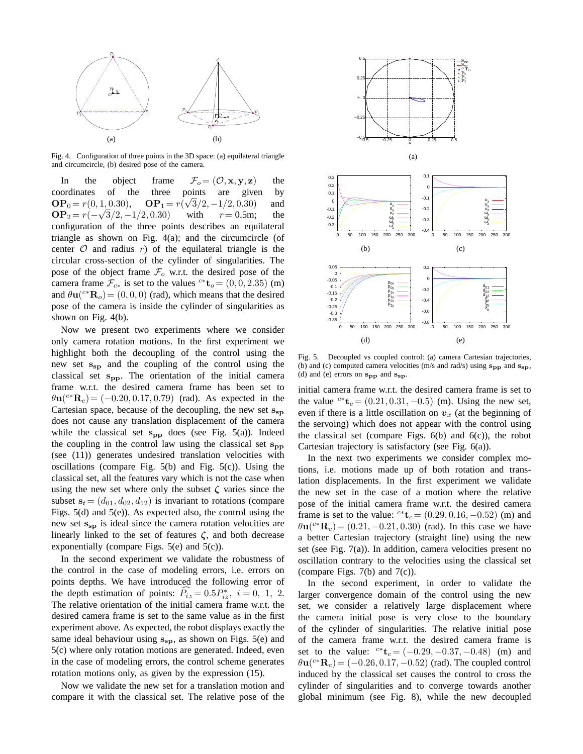

Fig. 4. Configuration of three points in the 3D space: (a) equilateral triangle and circumcircle, (b) desired pose of the camera.

In the object frame  $\mathcal{F}_o = (\mathcal{O}, \mathbf{x}, \mathbf{y}, \mathbf{z})$  the coordinates of the three points are given by points are given  $OP_0 = r(0, 1, 0.30),$  $\sqrt{3}/2$ ,  $-1/2$ , 0.30) and  $OP_2 = r(-\sqrt{3}/2, -1/2, 0.30)$  with  $r = 0.5$ m; the configuration of the three points describes an equilateral triangle as shown on Fig. 4(a); and the circumcircle (of center  $\mathcal O$  and radius r) of the equilateral triangle is the circular cross-section of the cylinder of singularities. The pose of the object frame  $\mathcal{F}_o$  w.r.t. the desired pose of the camera frame  $\mathcal{F}_{c*}$  is set to the values <sup>c∗</sup>**t**<sub>o</sub> = (0, 0, 2.35) (m) and  $\theta \mathbf{u}^{(c)} \mathbf{R}_o$  =  $(0, 0, 0)$  (rad), which means that the desired pose of the camera is inside the cylinder of singularities as shown on Fig. 4(b).

Now we present two experiments where we consider only camera rotation motions. In the first experiment we highlight both the decoupling of the control using the new set  $s_{sp}$  and the coupling of the control using the classical set  $s_{\text{pp}}$ . The orientation of the initial camera frame w.r.t. the desired camera frame has been set to  $\theta$ **u**(<sup>c\*</sup>**R**<sub>c</sub>) = (-0.20, 0.17, 0.79) (rad). As expected in the Cartesian space, because of the decoupling, the new set  $s_{\rm SD}$ does not cause any translation displacement of the camera while the classical set  $s_{\text{pp}}$  does (see Fig. 5(a)). Indeed the coupling in the control law using the classical set  $s_{\text{DD}}$ (see (11)) generates undesired translation velocities with oscillations (compare Fig.  $5(b)$  and Fig.  $5(c)$ ). Using the classical set, all the features vary which is not the case when using the new set where only the subset  $\zeta$  varies since the subset  $s_t = (d_{01}, d_{02}, d_{12})$  is invariant to rotations (compare Figs. 5(d) and 5(e)). As expected also, the control using the new set  $s_{sp}$  is ideal since the camera rotation velocities are linearly linked to the set of features  $\zeta$ , and both decrease exponentially (compare Figs.  $5(e)$  and  $5(c)$ ).

In the second experiment we validate the robustness of the control in the case of modeling errors, i.e. errors on points depths. We have introduced the following error of the depth estimation of points:  $\widehat{P}_{i\,z} = 0.5P_{iz}^*$ ,  $i = 0, 1, 2$ . The relative orientation of the initial camera frame w.r.t. the desired camera frame is set to the same value as in the first experiment above. As expected, the robot displays exactly the same ideal behaviour using  $s_{sp}$ , as shown on Figs. 5(e) and 5(c) where only rotation motions are generated. Indeed, even in the case of modeling errors, the control scheme generates rotation motions only, as given by the expression (15).

Now we validate the new set for a translation motion and compare it with the classical set. The relative pose of the



Fig. 5. Decoupled vs coupled control: (a) camera Cartesian trajectories, (b) and (c) computed camera velocities (m/s and rad/s) using  $s_{\rm pp}$  and  $s_{\rm sp}$ , (d) and (e) errors on  $s_{\text{DD}}$  and  $s_{\text{SD}}$ .

initial camera frame w.r.t. the desired camera frame is set to the value  $c^*$ **t**<sub>c</sub> = (0.21, 0.31, -0.5) (m). Using the new set, even if there is a little oscillation on  $v_x$  (at the beginning of the servoing) which does not appear with the control using the classical set (compare Figs.  $6(b)$  and  $6(c)$ ), the robot Cartesian trajectory is satisfactory (see Fig. 6(a)).

In the next two experiments we consider complex motions, i.e. motions made up of both rotation and translation displacements. In the first experiment we validate the new set in the case of a motion where the relative pose of the initial camera frame w.r.t. the desired camera frame is set to the value:  $c^*$ **t**<sub>c</sub> = (0.29, 0.16, -0.52) (m) and  $heta(c^* \mathbf{R}_c) = (0.21, -0.21, 0.30)$  (rad). In this case we have a better Cartesian trajectory (straight line) using the new set (see Fig. 7(a)). In addition, camera velocities present no oscillation contrary to the velocities using the classical set (compare Figs.  $7(b)$  and  $7(c)$ ).

In the second experiment, in order to validate the larger convergence domain of the control using the new set, we consider a relatively large displacement where the camera initial pose is very close to the boundary of the cylinder of singularities. The relative initial pose of the camera frame w.r.t. the desired camera frame is set to the value:  $c^*$ **t**<sub>c</sub> = (-0.29, -0.37, -0.48) (m) and  $heta^{c*}$ **R**<sub>c</sub> $) = (-0.26, 0.17, -0.52)$  (rad). The coupled control induced by the classical set causes the control to cross the cylinder of singularities and to converge towards another global minimum (see Fig. 8), while the new decoupled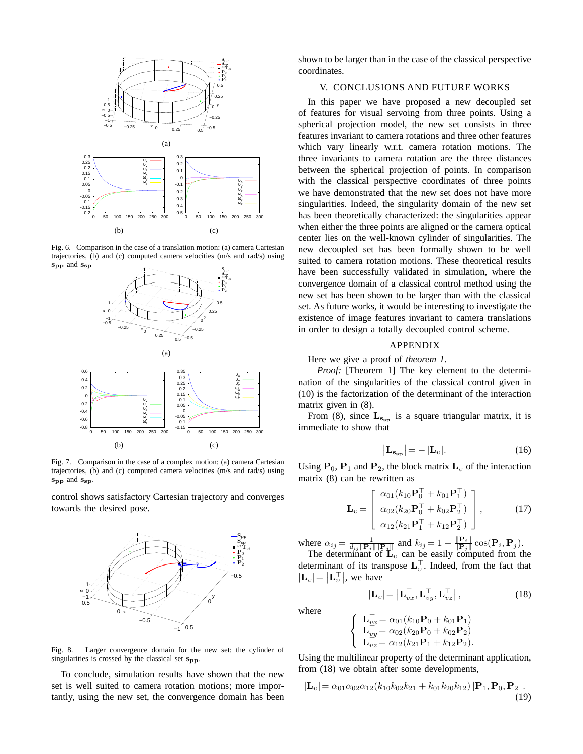

Fig. 6. Comparison in the case of a translation motion: (a) camera Cartesian trajectories, (b) and (c) computed camera velocities (m/s and rad/s) using spp and ssp.



Fig. 7. Comparison in the case of a complex motion: (a) camera Cartesian trajectories, (b) and (c) computed camera velocities (m/s and rad/s) using  $s_{\rm pp}$  and  $s_{\rm sp}$ .

control shows satisfactory Cartesian trajectory and converges towards the desired pose.



Fig. 8. Larger convergence domain for the new set: the cylinder of singularities is crossed by the classical set  $s_{\text{pp}}$ .

To conclude, simulation results have shown that the new set is well suited to camera rotation motions; more importantly, using the new set, the convergence domain has been shown to be larger than in the case of the classical perspective coordinates.

## V. CONCLUSIONS AND FUTURE WORKS

In this paper we have proposed a new decoupled set of features for visual servoing from three points. Using a spherical projection model, the new set consists in three features invariant to camera rotations and three other features which vary linearly w.r.t. camera rotation motions. The three invariants to camera rotation are the three distances between the spherical projection of points. In comparison with the classical perspective coordinates of three points we have demonstrated that the new set does not have more singularities. Indeed, the singularity domain of the new set has been theoretically characterized: the singularities appear when either the three points are aligned or the camera optical center lies on the well-known cylinder of singularities. The new decoupled set has been formally shown to be well suited to camera rotation motions. These theoretical results have been successfully validated in simulation, where the convergence domain of a classical control method using the new set has been shown to be larger than with the classical set. As future works, it would be interesting to investigate the existence of image features invariant to camera translations in order to design a totally decoupled control scheme.

### APPENDIX

Here we give a proof of *theorem 1*.

*Proof:* [Theorem 1] The key element to the determination of the singularities of the classical control given in (10) is the factorization of the determinant of the interaction matrix given in (8).

From (8), since  $\mathbf{L}_{\mathbf{s}_{sp}}$  is a square triangular matrix, it is immediate to show that

$$
\left| \mathbf{L}_{\mathbf{s}_{\mathrm{sp}}} \right| = -\left| \mathbf{L}_{\upsilon} \right| \tag{16}
$$

 $(18)$ 

Using  $P_0$ ,  $P_1$  and  $P_2$ , the block matrix  $L_v$  of the interaction matrix (8) can be rewritten as

$$
\mathbf{L}_{v} = \begin{bmatrix} \alpha_{01}(k_{10}\mathbf{P}_{0}^{\top} + k_{01}\mathbf{P}_{1}^{\top}) \\ \alpha_{02}(k_{20}\mathbf{P}_{0}^{\top} + k_{02}\mathbf{P}_{2}^{\top}) \\ \alpha_{12}(k_{21}\mathbf{P}_{1}^{\top} + k_{12}\mathbf{P}_{2}^{\top}) \end{bmatrix},
$$
(17)

where  $\alpha_{ij} = \frac{1}{d_{ij} \|\mathbf{P}_i\| \|\mathbf{P}_j\|}$  and  $k_{ij} = 1 - \frac{\|\mathbf{P}_i\|}{\|\mathbf{P}_j\|}$  $\frac{\|\mathbf{P}_i\|}{\|\mathbf{P}_j\|} \cos(\mathbf{P}_i, \mathbf{P}_j).$ 

The determinant of  $\mathbf{L}_v$  can be easily computed from the determinant of its transpose  $\mathbf{L}_v^{\top}$ . Indeed, from the fact that  $|\mathbf{L}_{v}| = |\mathbf{L}_{v}^{\top}|$ , we have

 $|\mathbf{L}_v| \!=\! \left|\mathbf{L}_{vx}^{\top},\mathbf{L}_{vy}^{\top},\mathbf{L}_{vz}^{\top}\right|$ 

where

$$
\begin{cases}\n\mathbf{L}_{vx}^{\top} = \alpha_{01}(k_{10}\mathbf{P}_{0} + k_{01}\mathbf{P}_{1}) \\
\mathbf{L}_{vy}^{\top} = \alpha_{02}(k_{20}\mathbf{P}_{0} + k_{02}\mathbf{P}_{2}) \\
\mathbf{L}_{vz}^{\top} = \alpha_{12}(k_{21}\mathbf{P}_{1} + k_{12}\mathbf{P}_{2}).\n\end{cases}
$$

Using the multilinear property of the determinant application, from (18) we obtain after some developments,

$$
|\mathbf{L}_{v}| = \alpha_{01}\alpha_{02}\alpha_{12}(k_{10}k_{02}k_{21} + k_{01}k_{20}k_{12}) |\mathbf{P}_{1}, \mathbf{P}_{0}, \mathbf{P}_{2}|.
$$
\n(19)